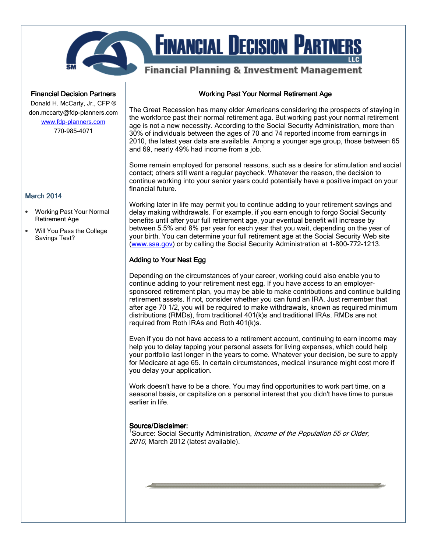

#### **Financial Decision Partners**

Donald H. McCarty, Jr., CFP ® don.mccarty@fdp-planners.com www.fdp-planners.com

770-985-4071

#### Working Past Your Normal Retirement Age

The Great Recession has many older Americans considering the prospects of staying in the workforce past their normal retirement aga. But working past your normal retirement age is not a new necessity. According to the Social Security Administration, more than 30% of individuals between the ages of 70 and 74 reported income from earnings in 2010, the latest year data are available. Among a younger age group, those between 65 and 69, nearly 49% had income from a job. $<sup>1</sup>$ </sup>

Some remain employed for personal reasons, such as a desire for stimulation and social contact; others still want a regular paycheck. Whatever the reason, the decision to continue working into your senior years could potentially have a positive impact on your financial future.

Working later in life may permit you to continue adding to your retirement savings and delay making withdrawals. For example, if you earn enough to forgo Social Security benefits until after your full retirement age, your eventual benefit will increase by between 5.5% and 8% per year for each year that you wait, depending on the year of your birth. You can determine your full retirement age at the Social Security Web site (www.ssa.gov) or by calling the Social Security Administration at 1-800-772-1213.

### Adding to Your Nest Egg

Depending on the circumstances of your career, working could also enable you to continue adding to your retirement nest egg. If you have access to an employersponsored retirement plan, you may be able to make contributions and continue building retirement assets. If not, consider whether you can fund an IRA. Just remember that after age 70 1/2, you will be required to make withdrawals, known as required minimum distributions (RMDs), from traditional 401(k)s and traditional IRAs. RMDs are not required from Roth IRAs and Roth 401(k)s.

Even if you do not have access to a retirement account, continuing to earn income may help you to delay tapping your personal assets for living expenses, which could help your portfolio last longer in the years to come. Whatever your decision, be sure to apply for Medicare at age 65. In certain circumstances, medical insurance might cost more if you delay your application.

Work doesn't have to be a chore. You may find opportunities to work part time, on a seasonal basis, or capitalize on a personal interest that you didn't have time to pursue earlier in life.

## Source/Disclaimer:

<sup>1</sup>Source: Social Security Administration, *Income of the Population 55 or Older,* 2010, March 2012 (latest available).

### **March 2014**

- Working Past Your Normal Retirement Age
- Will You Pass the College Savings Test?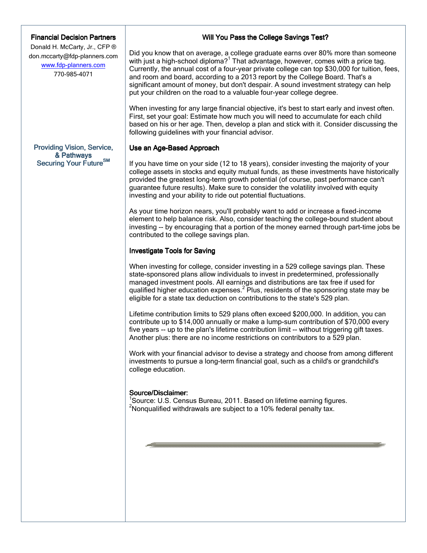#### **Financial Decision Partners**

Donald H. McCarty, Jr., CFP ® don.mccarty@fdp-planners.com www.fdp-planners.com 770-985-4071

# Providing Vision, Service, & Pathways Securing Your Future<sup>SM</sup>

### Will You Pass the College Savings Test?

Did you know that on average, a college graduate earns over 80% more than someone with just a high-school diploma?<sup>1</sup> That advantage, however, comes with a price tag. Currently, the annual cost of a four-year private college can top \$30,000 for tuition, fees, and room and board, according to a 2013 report by the College Board. That's a significant amount of money, but don't despair. A sound investment strategy can help put your children on the road to a valuable four-year college degree.

When investing for any large financial objective, it's best to start early and invest often. First, set your goal: Estimate how much you will need to accumulate for each child based on his or her age. Then, develop a plan and stick with it. Consider discussing the following guidelines with your financial advisor.

## Use an Age-Based Approach

If you have time on your side (12 to 18 years), consider investing the majority of your college assets in stocks and equity mutual funds, as these investments have historically provided the greatest long-term growth potential (of course, past performance can't guarantee future results). Make sure to consider the volatility involved with equity investing and your ability to ride out potential fluctuations.

As your time horizon nears, you'll probably want to add or increase a fixed-income element to help balance risk. Also, consider teaching the college-bound student about investing -- by encouraging that a portion of the money earned through part-time jobs be contributed to the college savings plan.

### **Investigate Tools for Saving**

When investing for college, consider investing in a 529 college savings plan. These state-sponsored plans allow individuals to invest in predetermined, professionally managed investment pools. All earnings and distributions are tax free if used for qualified higher education expenses.<sup>2</sup> Plus, residents of the sponsoring state may be eligible for a state tax deduction on contributions to the state's 529 plan.

Lifetime contribution limits to 529 plans often exceed \$200,000. In addition, you can contribute up to \$14,000 annually or make a lump-sum contribution of \$70,000 every five years -- up to the plan's lifetime contribution limit -- without triggering gift taxes. Another plus: there are no income restrictions on contributors to a 529 plan.

Work with your financial advisor to devise a strategy and choose from among different investments to pursue a long-term financial goal, such as a child's or grandchild's college education.

#### Source/Disclaimer:

<sup>1</sup>Source: U.S. Census Bureau, 2011. Based on lifetime earning figures.  $2N$ onqualified withdrawals are subject to a 10% federal penalty tax.